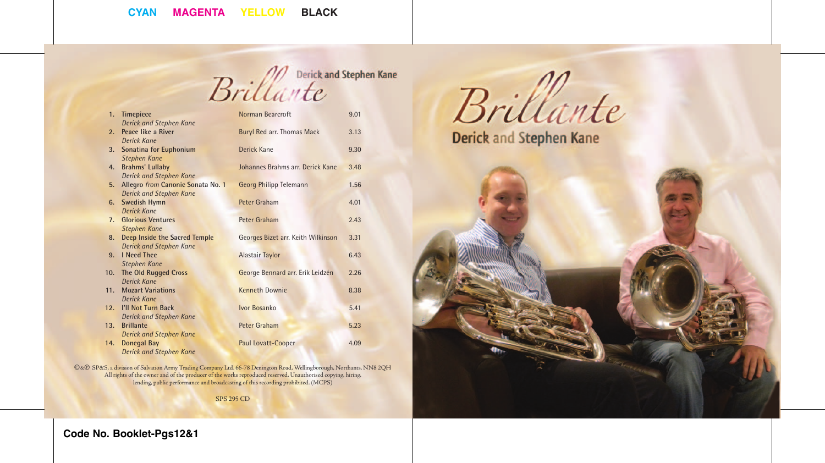Brillante

| 1.             | <b>Timepiece</b>                     | Norman Bearcroft                   | 9.01 |
|----------------|--------------------------------------|------------------------------------|------|
|                | <b>Derick and Stephen Kane</b>       |                                    |      |
| 2.             | Peace like a River                   | <b>Buryl Red arr. Thomas Mack</b>  | 3.13 |
|                | <b>Derick Kane</b>                   |                                    |      |
| 3.             | Sonatina for Euphonium               | <b>Derick Kane</b>                 | 9.30 |
|                | <b>Stephen Kane</b>                  |                                    |      |
| 4.             | <b>Brahms' Lullaby</b>               | Johannes Brahms arr. Derick Kane   | 3.48 |
|                | <b>Derick and Stephen Kane</b>       |                                    |      |
| 5.             | Allegro from Canonic Sonata No. 1    | <b>Georg Philipp Telemann</b>      | 1.56 |
|                | <b>Derick and Stephen Kane</b>       |                                    |      |
| 6.             | Swedish Hymn                         | Peter Graham                       | 4.01 |
|                | <b>Derick Kane</b>                   |                                    |      |
| 7 <sub>1</sub> | <b>Glorious Ventures</b>             | Peter Graham                       | 2.43 |
|                | <b>Stephen Kane</b>                  |                                    |      |
| 8.             | <b>Deep Inside the Sacred Temple</b> | Georges Bizet arr. Keith Wilkinson | 3.31 |
|                | <b>Derick and Stephen Kane</b>       |                                    |      |
| 9.             | <b>I</b> Need Thee                   | <b>Alastair Taylor</b>             | 6.43 |
|                | <b>Stephen Kane</b>                  |                                    |      |
| 10.            | <b>The Old Rugged Cross</b>          | George Bennard arr. Erik Leidzén   | 2.26 |
|                | Derick Kane                          |                                    |      |
| 11.            | <b>Mozart Variations</b>             | <b>Kenneth Downie</b>              | 8.38 |
|                | <b>Derick Kane</b>                   |                                    |      |
| 12.            | <b>I'll Not Turn Back</b>            | Ivor Bosanko                       | 5.41 |
|                | <b>Derick and Stephen Kane</b>       |                                    |      |
| 13.            | <b>Brillante</b>                     | Peter Graham                       | 5.23 |
|                | <b>Derick and Stephen Kane</b>       |                                    |      |
| 14.            | <b>Donegal Bay</b>                   | Paul Lovatt-Cooper                 | 4.09 |
|                | <b>Derick and Stephen Kane</b>       |                                    |      |

C&P SP&S, a division of Salvation Army Trading Company Ltd. 66-78 Denington Road, Wellingborough, Northants. NN8 2QH All rights of the owner and of the producer of the works reproduced reserved. Unauthorised copying, hiring, lending, public performance and broadcasting of this recording prohibited. (MCPS)

SPS 295 CD

Brillante

Derick and Stephen Kane



**Code No. Booklet-Pgs12&1**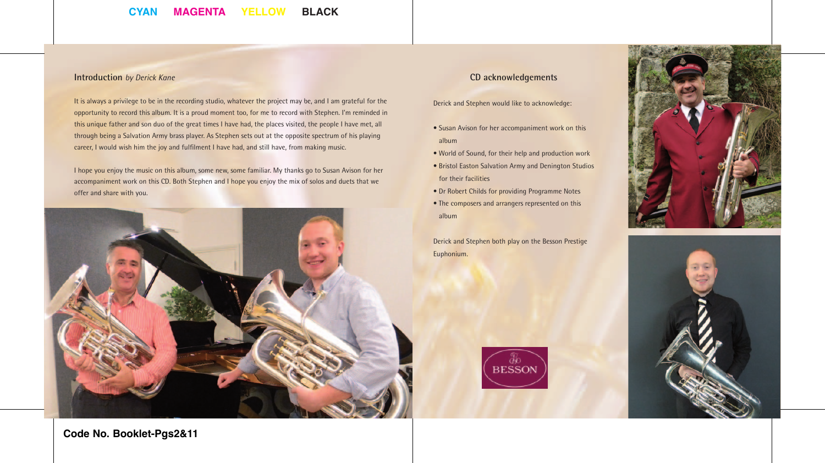### **Introduction** *by Derick Kane*

It is always a privilege to be in the recording studio, whatever the project may be, and I am grateful for the opportunity to record this album. It is a proud moment too, for me to record with Stephen. I'm reminded in this unique father and son duo of the great times I have had, the places visited, the people I have met, all through being a Salvation Army brass player. As Stephen sets out at the opposite spectrum of his playing career, I would wish him the joy and fulfilment I have had, and still have, from making music.

I hope you enjoy the music on this album, some new, some familiar. My thanks go to Susan Avison for her accompaniment work on this CD. Both Stephen and I hope you enjoy the mix of solos and duets that we offer and share with you.



### **CD acknowledgements**

Derick and Stephen would like to acknowledge:

- Susan Avison for her accompaniment work on this album
- World of Sound, for their help and production work
- Bristol Easton Salvation Army and Denington Studios for their facilities
- Dr Robert Childs for providing Programme Notes
- The composers and arrangers represented on this album

Derick and Stephen both play on the Besson Prestige Euphonium.







**Code No. Booklet-Pgs2&11**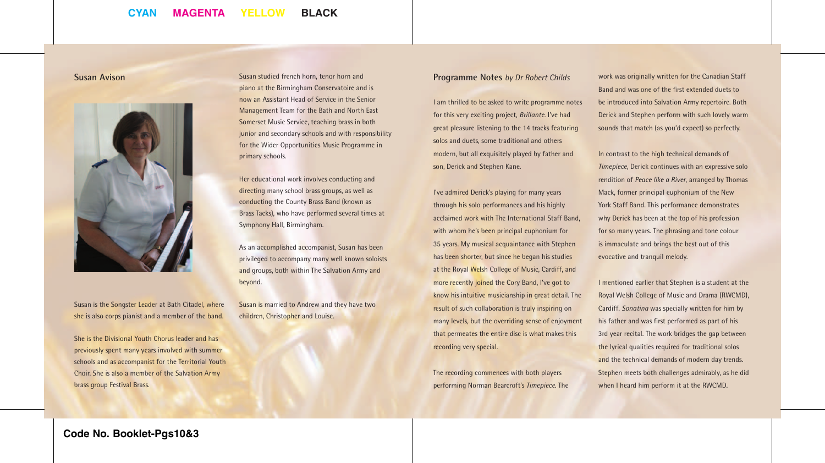**Susan Avison**



Susan is the Songster Leader at Bath Citadel, where she is also corps pianist and a member of the band.

She is the Divisional Youth Chorus leader and has previously spent many years involved with summer schools and as accompanist for the Territorial Youth Choir. She is also a member of the Salvation Army brass group Festival Brass.

Susan studied french horn, tenor horn and piano at the Birmingham Conservatoire and is now an Assistant Head of Service in the Senior Management Team for the Bath and North East Somerset Music Service, teaching brass in both junior and secondary schools and with responsibility for the Wider Opportunities Music Programme in primary schools.

Her educational work involves conducting and directing many school brass groups, as well as conducting the County Brass Band (known as Brass Tacks), who have performed several times at Symphony Hall, Birmingham.

As an accomplished accompanist, Susan has been privileged to accompany many well known soloists and groups, both within The Salvation Army and beyond.

Susan is married to Andrew and they have two children, Christopher and Louise.

#### **Programme Notes** *by Dr Robert Childs*

I am thrilled to be asked to write programme notes for this very exciting project, *Brillante*. I've had great pleasure listening to the 14 tracks featuring solos and duets, some traditional and others modern, but all exquisitely played by father and son, Derick and Stephen Kane.

I've admired Derick's playing for many years through his solo performances and his highly acclaimed work with The International Staff Band, with whom he's been principal euphonium for 35 years. My musical acquaintance with Stephen has been shorter, but since he began his studies at the Royal Welsh College of Music, Cardiff, and more recently joined the Cory Band, I've got to know his intuitive musicianship in great detail. The result of such collaboration is truly inspiring on many levels, but the overriding sense of enjoyment that permeates the entire disc is what makes this recording very special.

The recording commences with both players performing Norman Bearcroft's *Timepiece*. The

work was originally written for the Canadian Staff Band and was one of the first extended duets to be introduced into Salvation Army repertoire. Both Derick and Stephen perform with such lovely warm sounds that match (as you'd expect) so perfectly.

In contrast to the high technical demands of *Timepiece*, Derick continues with an expressive solo rendition of *Peace like a River*, arranged by Thomas Mack, former principal euphonium of the New York Staff Band. This performance demonstrates why Derick has been at the top of his profession for so many years. The phrasing and tone colour is immaculate and brings the best out of this evocative and tranquil melody.

I mentioned earlier that Stephen is a student at the Royal Welsh College of Music and Drama (RWCMD), Cardiff. *Sonatina* was specially written for him by his father and was first performed as part of his 3rd year recital. The work bridges the gap between the lyrical qualities required for traditional solos and the technical demands of modern day trends. Stephen meets both challenges admirably, as he did when I heard him perform it at the RWCMD.

**Code No. Booklet-Pgs10&3**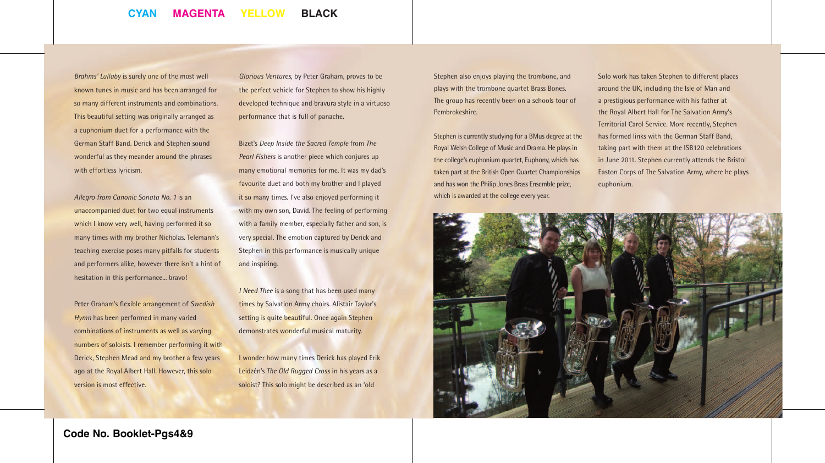*Brahms' Lullaby* is surely one of the most well known tunes in music and has been arranged for so many different instruments and combinations. This beautiful setting was originally arranged as a euphonium duet for a performance with the German Staff Band. Derick and Stephen sound wonderful as they meander around the phrases with effortless lyricism.

*Allegro from Canonic Sonata No. 1* is an unaccompanied duet for two equal instruments which I know very well, having performed it so many times with my brother Nicholas. Telemann's teaching exercise poses many pitfalls for students and performers alike, however there isn't a hint of hesitation in this performance... bravo!

Peter Graham's flexible arrangement of *Swedish Hymn* has been performed in many varied combinations of instruments as well as varying numbers of soloists. I remember performing it with Derick, Stephen Mead and my brother a few years ago at the Royal Albert Hall. However, this solo version is most effective.

*Glorious Ventures*, by Peter Graham, proves to be the perfect vehicle for Stephen to show his highly developed technique and bravura style in a virtuoso performance that is full of panache.

Bizet's *Deep Inside the Sacred Temple* from *The Pearl Fishers* is another piece which conjures up many emotional memories for me. It was my dad's favourite duet and both my brother and I played it so many times. I've also enjoyed performing it with my own son, David. The feeling of performing with a family member, especially father and son, is very special. The emotion captured by Derick and Stephen in this performance is musically unique and inspiring.

*I Need Thee* is a song that has been used many times by Salvation Army choirs. Alistair Taylor's setting is quite beautiful. Once again Stephen demonstrates wonderful musical maturity.

I wonder how many times Derick has played Erik Leidzén's *The Old Rugged Cross* in his years as a soloist? This solo might be described as an 'old

Stephen also enjoys playing the trombone, and plays with the trombone quartet Brass Bones. The group has recently been on a schools tour of Pembrokeshire.

Stephen is currently studying for a BMus degree at the Royal Welsh College of Music and Drama. He plays in the college's euphonium quartet, Euphony, which has taken part at the British Open Quartet Championships and has won the Philip Jones Brass Ensemble prize, which is awarded at the college every year.

Solo work has taken Stephen to different places around the UK, including the Isle of Man and a prestigious performance with his father at the Royal Albert Hall for The Salvation Army's Territorial Carol Service. More recently, Stephen has formed links with the German Staff Band, taking part with them at the ISB120 celebrations in June 2011. Stephen currently attends the Bristol Easton Corps of The Salvation Army, where he plays euphonium.

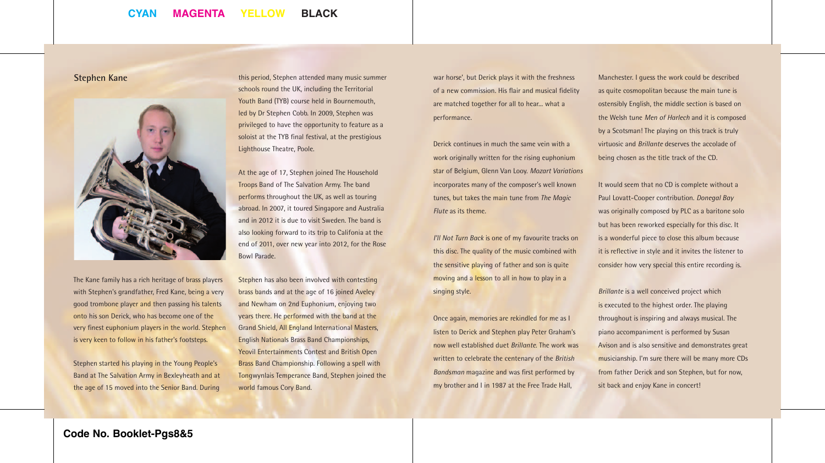![](_page_4_Picture_2.jpeg)

schools round the UK, including the Territorial Youth Band (TYB) course held in Bournemouth, led by Dr Stephen Cobb. In 2009, Stephen was privileged to have the opportunity to feature as a soloist at the TYB final festival, at the prestigious Lighthouse Theatre, Poole.

At the age of 17, Stephen joined The Household Troops Band of The Salvation Army. The band performs throughout the UK, as well as touring abroad. In 2007, it toured Singapore and Australia and in 2012 it is due to visit Sweden. The band is also looking forward to its trip to Califonia at the end of 2011, over new year into 2012, for the Rose Bowl Parade.

Stephen has also been involved with contesting brass bands and at the age of 16 joined Aveley and Newham on 2nd Euphonium, enjoying two years there. He performed with the band at the Grand Shield, All England International Masters, English Nationals Brass Band Championships, Yeovil Entertainments Contest and British Open Brass Band Championship. Following a spell with Tongwynlais Temperance Band, Stephen joined the world famous Cory Band.

this period, Stephen attended many music summer **Stephen Kane** war horse', but Derick plays it with the freshness of a new commission. His flair and musical fidelity are matched together for all to hear... what a performance.

> Derick continues in much the same vein with a work originally written for the rising euphonium star of Belgium, Glenn Van Looy. *Mozart Variations* incorporates many of the composer's well known tunes, but takes the main tune from *The Magic Flute* as its theme.

*I'll Not Turn Back* is one of my favourite tracks on this disc. The quality of the music combined with the sensitive playing of father and son is quite moving and a lesson to all in how to play in a singing style.

Once again, memories are rekindled for me as I listen to Derick and Stephen play Peter Graham's now well established duet *Brillante*. The work was written to celebrate the centenary of the *British Bandsman* magazine and was first performed by my brother and I in 1987 at the Free Trade Hall,

Manchester. I guess the work could be described as quite cosmopolitan because the main tune is ostensibly English, the middle section is based on the Welsh tune *Men of Harlech* and it is composed by a Scotsman! The playing on this track is truly virtuosic and *Brillante* deserves the accolade of being chosen as the title track of the CD.

It would seem that no CD is complete without a Paul Lovatt-Cooper contribution. *Donegal Bay* was originally composed by PLC as a baritone solo but has been reworked especially for this disc. It is a wonderful piece to close this album because it is reflective in style and it invites the listener to consider how very special this entire recording is.

*Brillante* is a well conceived project which is executed to the highest order. The playing throughout is inspiring and always musical. The piano accompaniment is performed by Susan Avison and is also sensitive and demonstrates great musicianship. I'm sure there will be many more CDs from father Derick and son Stephen, but for now, sit back and enjoy Kane in concert!

The Kane family has a rich heritage of brass players with Stephen's grandfather, Fred Kane, being a very good trombone player and then passing his talents onto his son Derick, who has become one of the very finest euphonium players in the world. Stephen is very keen to follow in his father's footsteps.

Stephen started his playing in the Young People's Band at The Salvation Army in Bexleyheath and at the age of 15 moved into the Senior Band. During